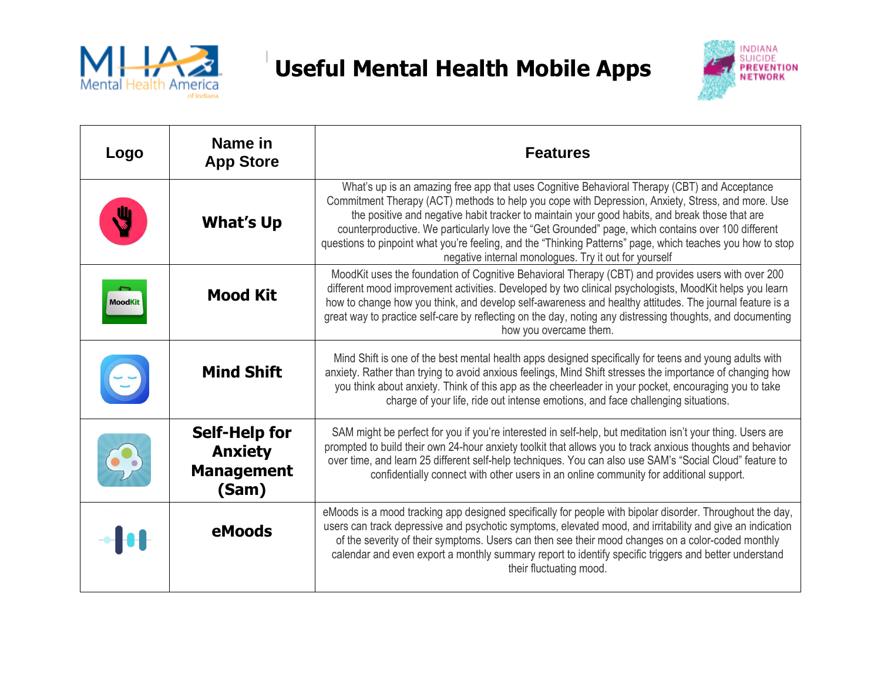

## **Useful Mental Health Mobile Apps Useful Mental Health Mobile Apps**



| Logo    | Name in<br><b>App Store</b>                                          | <b>Features</b>                                                                                                                                                                                                                                                                                                                                                                                                                                                                                                                                                                  |
|---------|----------------------------------------------------------------------|----------------------------------------------------------------------------------------------------------------------------------------------------------------------------------------------------------------------------------------------------------------------------------------------------------------------------------------------------------------------------------------------------------------------------------------------------------------------------------------------------------------------------------------------------------------------------------|
|         | <b>What's Up</b>                                                     | What's up is an amazing free app that uses Cognitive Behavioral Therapy (CBT) and Acceptance<br>Commitment Therapy (ACT) methods to help you cope with Depression, Anxiety, Stress, and more. Use<br>the positive and negative habit tracker to maintain your good habits, and break those that are<br>counterproductive. We particularly love the "Get Grounded" page, which contains over 100 different<br>questions to pinpoint what you're feeling, and the "Thinking Patterns" page, which teaches you how to stop<br>negative internal monologues. Try it out for yourself |
| MoodKit | <b>Mood Kit</b>                                                      | MoodKit uses the foundation of Cognitive Behavioral Therapy (CBT) and provides users with over 200<br>different mood improvement activities. Developed by two clinical psychologists, MoodKit helps you learn<br>how to change how you think, and develop self-awareness and healthy attitudes. The journal feature is a<br>great way to practice self-care by reflecting on the day, noting any distressing thoughts, and documenting<br>how you overcame them.                                                                                                                 |
|         | <b>Mind Shift</b>                                                    | Mind Shift is one of the best mental health apps designed specifically for teens and young adults with<br>anxiety. Rather than trying to avoid anxious feelings, Mind Shift stresses the importance of changing how<br>you think about anxiety. Think of this app as the cheerleader in your pocket, encouraging you to take<br>charge of your life, ride out intense emotions, and face challenging situations.                                                                                                                                                                 |
|         | <b>Self-Help for</b><br><b>Anxiety</b><br><b>Management</b><br>(Sam) | SAM might be perfect for you if you're interested in self-help, but meditation isn't your thing. Users are<br>prompted to build their own 24-hour anxiety toolkit that allows you to track anxious thoughts and behavior<br>over time, and learn 25 different self-help techniques. You can also use SAM's "Social Cloud" feature to<br>confidentially connect with other users in an online community for additional support.                                                                                                                                                   |
|         | eMoods                                                               | eMoods is a mood tracking app designed specifically for people with bipolar disorder. Throughout the day,<br>users can track depressive and psychotic symptoms, elevated mood, and irritability and give an indication<br>of the severity of their symptoms. Users can then see their mood changes on a color-coded monthly<br>calendar and even export a monthly summary report to identify specific triggers and better understand<br>their fluctuating mood.                                                                                                                  |